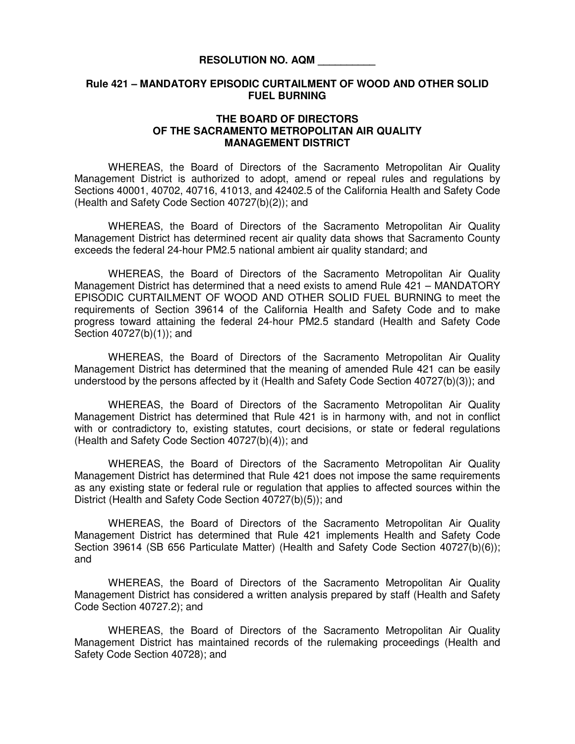## **RESOLUTION NO. AQM \_\_\_\_\_\_\_\_\_\_**

## **Rule 421 – MANDATORY EPISODIC CURTAILMENT OF WOOD AND OTHER SOLID FUEL BURNING**

## **THE BOARD OF DIRECTORS OF THE SACRAMENTO METROPOLITAN AIR QUALITY MANAGEMENT DISTRICT**

 WHEREAS, the Board of Directors of the Sacramento Metropolitan Air Quality Management District is authorized to adopt, amend or repeal rules and regulations by Sections 40001, 40702, 40716, 41013, and 42402.5 of the California Health and Safety Code (Health and Safety Code Section 40727(b)(2)); and

 WHEREAS, the Board of Directors of the Sacramento Metropolitan Air Quality Management District has determined recent air quality data shows that Sacramento County exceeds the federal 24-hour PM2.5 national ambient air quality standard; and

WHEREAS, the Board of Directors of the Sacramento Metropolitan Air Quality Management District has determined that a need exists to amend Rule 421 – MANDATORY EPISODIC CURTAILMENT OF WOOD AND OTHER SOLID FUEL BURNING to meet the requirements of Section 39614 of the California Health and Safety Code and to make progress toward attaining the federal 24-hour PM2.5 standard (Health and Safety Code Section 40727(b)(1)); and

 WHEREAS, the Board of Directors of the Sacramento Metropolitan Air Quality Management District has determined that the meaning of amended Rule 421 can be easily understood by the persons affected by it (Health and Safety Code Section 40727(b)(3)); and

 WHEREAS, the Board of Directors of the Sacramento Metropolitan Air Quality Management District has determined that Rule 421 is in harmony with, and not in conflict with or contradictory to, existing statutes, court decisions, or state or federal regulations (Health and Safety Code Section 40727(b)(4)); and

 WHEREAS, the Board of Directors of the Sacramento Metropolitan Air Quality Management District has determined that Rule 421 does not impose the same requirements as any existing state or federal rule or regulation that applies to affected sources within the District (Health and Safety Code Section 40727(b)(5)); and

 WHEREAS, the Board of Directors of the Sacramento Metropolitan Air Quality Management District has determined that Rule 421 implements Health and Safety Code Section 39614 (SB 656 Particulate Matter) (Health and Safety Code Section 40727(b)(6)); and

WHEREAS, the Board of Directors of the Sacramento Metropolitan Air Quality Management District has considered a written analysis prepared by staff (Health and Safety Code Section 40727.2); and

WHEREAS, the Board of Directors of the Sacramento Metropolitan Air Quality Management District has maintained records of the rulemaking proceedings (Health and Safety Code Section 40728); and